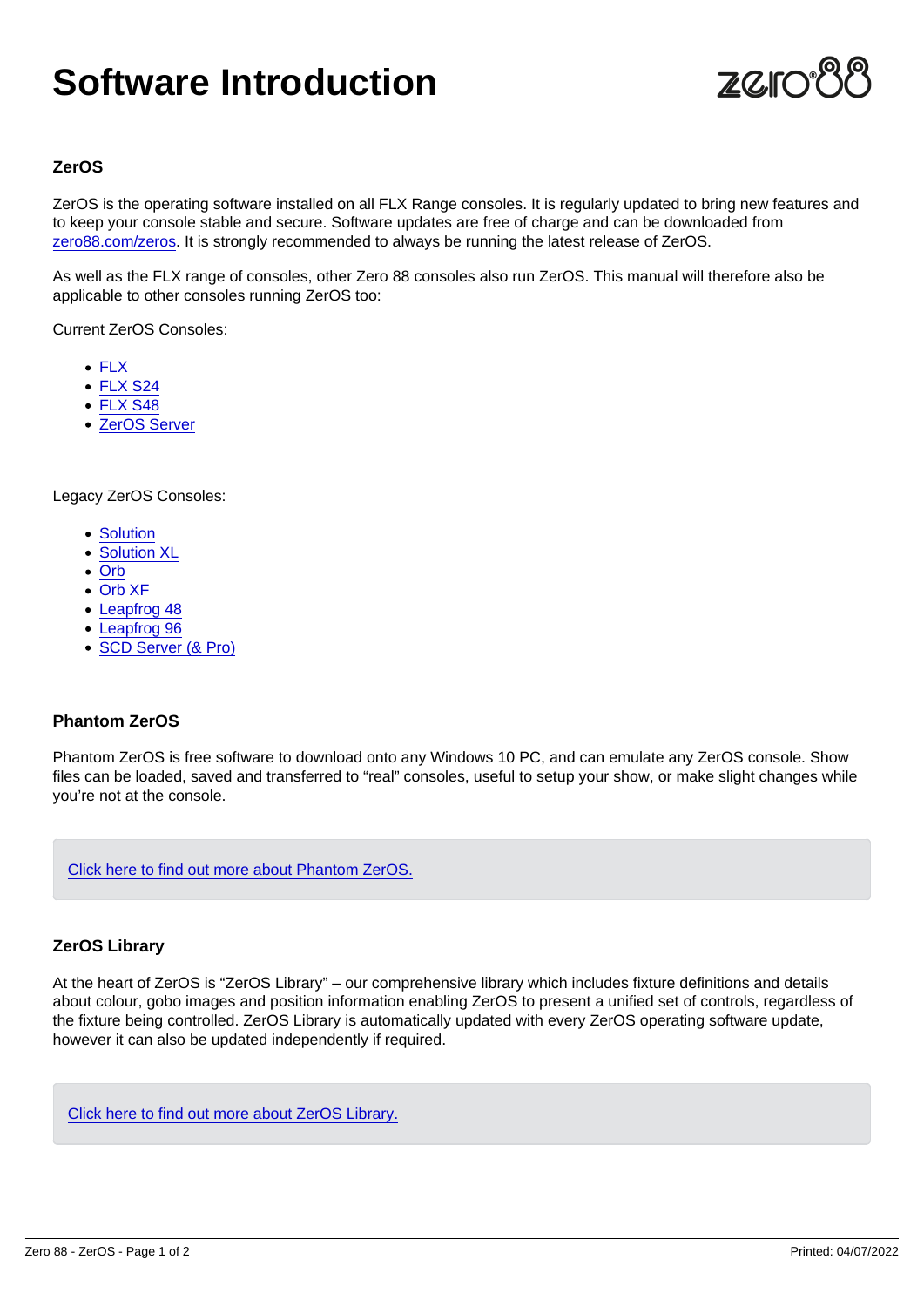# Software Introduction

## ZerOS

ZerOS is the operating software installed on all FLX Range consoles. It is regularly updated to bring new features and to keep your console stable and secure. Software updates are free of charge and can be downloaded from [zero88.com/zeros](https://zero88.com/zeros). It is strongly recommended to always be running the latest release of ZerOS.

As well as the FLX range of consoles, other Zero 88 consoles also run ZerOS. This manual will therefore also be applicable to other consoles running ZerOS too:

Current ZerOS Consoles:

- $\cdot$  [FLX](/control/flx)
- [FLX S24](/control/flxs)
- [FLX S48](/control/flxs)
- [ZerOS Server](/control/server)

Legacy ZerOS Consoles:

- [Solution](/control/solution)
- [Solution XL](/control/solution)
- [Orb](/control/orb)
- [Orb XF](/control/orb)
- [Leapfrog 48](/control/leapfrog)
- [Leapfrog 96](/control/leapfrog)
- [SCD Server \(& Pro\)](/control/scd)

### Phantom ZerOS

Phantom ZerOS is free software to download onto any Windows 10 PC, and can emulate any ZerOS console. Show files can be loaded, saved and transferred to "real" consoles, useful to setup your show, or make slight changes while you're not at the console.

[Click here to find out more about Phantom ZerOS.](/manuals/zeros/phantom-zeros)

#### ZerOS Library

At the heart of ZerOS is "ZerOS Library" – our comprehensive library which includes fixture definitions and details about colour, gobo images and position information enabling ZerOS to present a unified set of controls, regardless of the fixture being controlled. ZerOS Library is automatically updated with every ZerOS operating software update, however it can also be updated independently if required.

[Click here to find out more about ZerOS Library.](/manuals/zeros/patching/zeros-library)